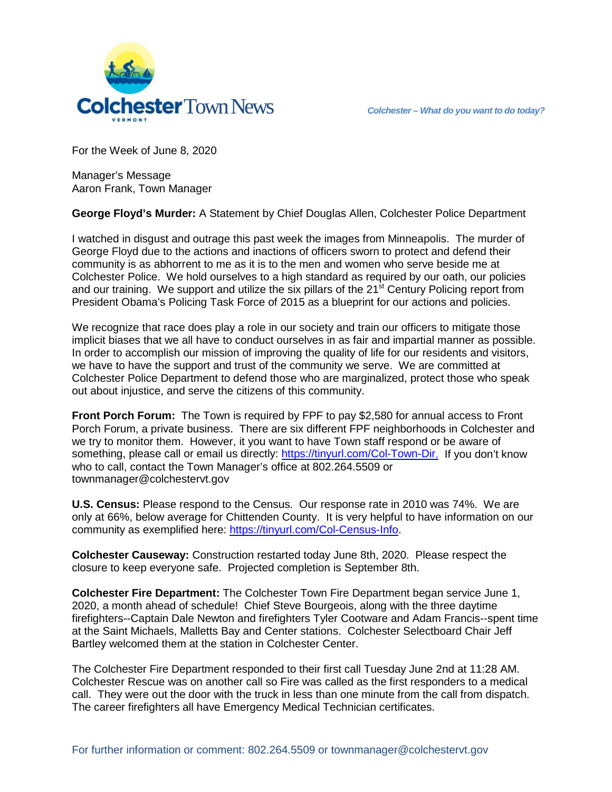

For the Week of June 8, 2020

Manager's Message Aaron Frank, Town Manager

**George Floyd's Murder:** A Statement by Chief Douglas Allen, Colchester Police Department

I watched in disgust and outrage this past week the images from Minneapolis. The murder of George Floyd due to the actions and inactions of officers sworn to protect and defend their community is as abhorrent to me as it is to the men and women who serve beside me at Colchester Police. We hold ourselves to a high standard as required by our oath, our policies and our training. We support and utilize the six pillars of the  $21<sup>st</sup>$  Century Policing report from President Obama's Policing Task Force of 2015 as a blueprint for our actions and policies.

We recognize that race does play a role in our society and train our officers to mitigate those implicit biases that we all have to conduct ourselves in as fair and impartial manner as possible. In order to accomplish our mission of improving the quality of life for our residents and visitors, we have to have the support and trust of the community we serve. We are committed at Colchester Police Department to defend those who are marginalized, protect those who speak out about injustice, and serve the citizens of this community.

**Front Porch Forum:** The Town is required by FPF to pay \$2,580 for annual access to Front Porch Forum, a private business. There are six different FPF neighborhoods in Colchester and we try to monitor them. However, it you want to have Town staff respond or be aware of something, please call or email us directly: [https://tinyurl.com/Col-Town-Dir.](https://tinyurl.com/Col-Town-Dir) If you don't know who to call, contact the Town Manager's office at 802.264.5509 or townmanager@colchestervt.gov

**U.S. Census:** Please respond to the Census. Our response rate in 2010 was 74%. We are only at 66%, below average for Chittenden County. It is very helpful to have information on our community as exemplified here: [https://tinyurl.com/Col-Census-Info.](https://tinyurl.com/Col-Census-Info)

**Colchester Causeway:** Construction restarted today June 8th, 2020. Please respect the closure to keep everyone safe. Projected completion is September 8th.

**Colchester Fire Department:** The Colchester Town Fire Department began service June 1, 2020, a month ahead of schedule! Chief Steve Bourgeois, along with the three daytime firefighters--Captain Dale Newton and firefighters Tyler Cootware and Adam Francis--spent time at the Saint Michaels, Malletts Bay and Center stations. Colchester Selectboard Chair Jeff Bartley welcomed them at the station in Colchester Center.

The Colchester Fire Department responded to their first call Tuesday June 2nd at 11:28 AM. Colchester Rescue was on another call so Fire was called as the first responders to a medical call. They were out the door with the truck in less than one minute from the call from dispatch. The career firefighters all have Emergency Medical Technician certificates.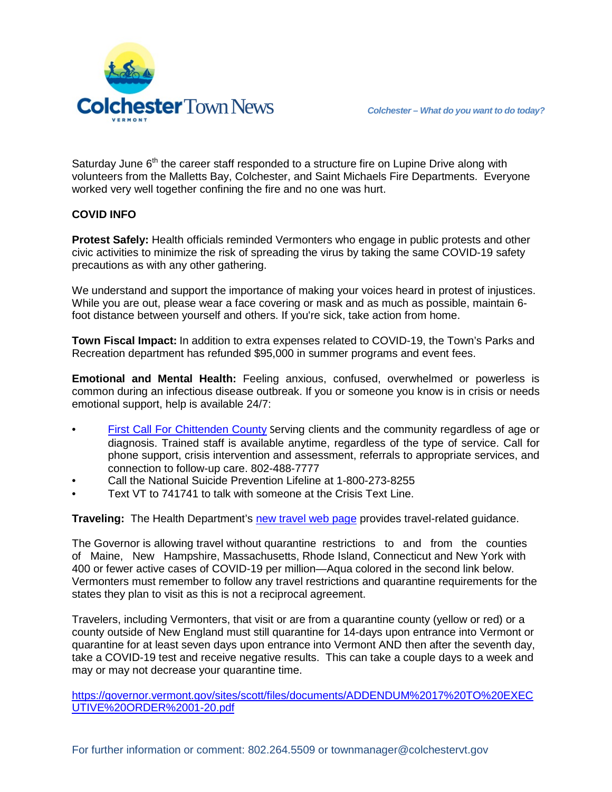

Saturday June  $6<sup>th</sup>$  the career staff responded to a structure fire on Lupine Drive along with volunteers from the Malletts Bay, Colchester, and Saint Michaels Fire Departments. Everyone worked very well together confining the fire and no one was hurt.

## **COVID INFO**

**Protest Safely:** Health officials reminded Vermonters who engage in public protests and other civic activities to minimize the risk of spreading the virus by taking the same COVID-19 safety precautions as with any other gathering.

We understand and support the importance of making your voices heard in protest of injustices. While you are out, please wear a face covering or mask and as much as possible, maintain 6 foot distance between yourself and others. If you're sick, take action from home.

**Town Fiscal Impact:** In addition to extra expenses related to COVID-19, the Town's Parks and Recreation department has refunded \$95,000 in summer programs and event fees.

**Emotional and Mental Health:** Feeling anxious, confused, overwhelmed or powerless is common during an infectious disease outbreak. If you or someone you know is in crisis or needs emotional support, help is available 24/7:

- [First Call For Chittenden County](https://howardcenter.org/first-call-for-chittenden-county/) Serving clients and the community regardless of age or diagnosis. Trained staff is available anytime, regardless of the type of service. Call for phone support, crisis intervention and assessment, referrals to appropriate services, and connection to follow-up care. 802-488-7777
- Call the National Suicide Prevention Lifeline at 1-800-273-8255
- Text VT to 741741 to talk with someone at the Crisis Text Line.

**Traveling:** The Health Department's [new travel web page](https://www.healthvermont.gov/response/coronavirus-covid-19/traveling-vermont) provides travel-related guidance.

The Governor is allowing travel without quarantine restrictions to and from the counties of Maine, New Hampshire, Massachusetts, Rhode Island, Connecticut and New York with 400 or fewer active cases of COVID-19 per million—Aqua colored in the second link below. Vermonters must remember to follow any travel restrictions and quarantine requirements for the states they plan to visit as this is not a reciprocal agreement.

Travelers, including Vermonters, that visit or are from a quarantine county (yellow or red) or a county outside of New England must still quarantine for 14-days upon entrance into Vermont or quarantine for at least seven days upon entrance into Vermont AND then after the seventh day, take a COVID-19 test and receive negative results. This can take a couple days to a week and may or may not decrease your quarantine time.

[https://governor.vermont.gov/sites/scott/files/documents/ADDENDUM%2017%20TO%20EXEC](https://governor.vermont.gov/sites/scott/files/documents/ADDENDUM%2017%20TO%20EXECUTIVE%20ORDER%2001-20.pdf) [UTIVE%20ORDER%2001-20.pdf](https://governor.vermont.gov/sites/scott/files/documents/ADDENDUM%2017%20TO%20EXECUTIVE%20ORDER%2001-20.pdf)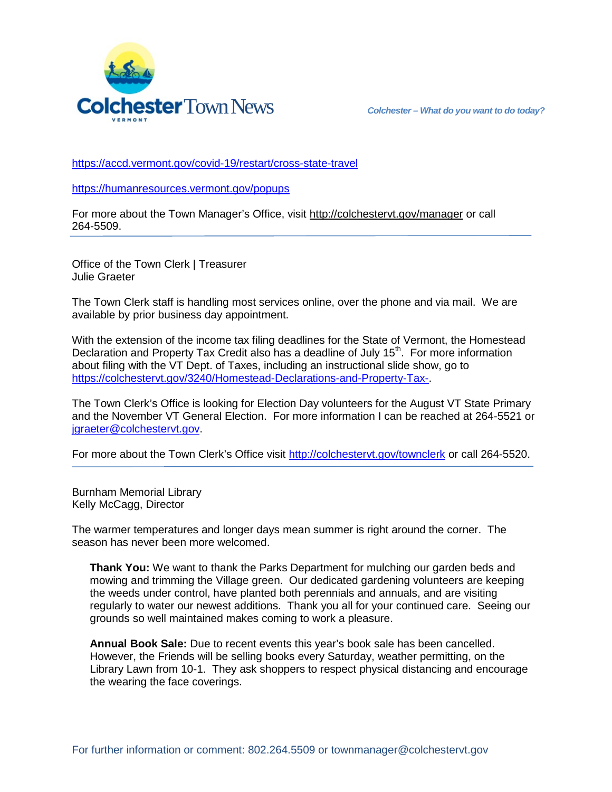

<https://accd.vermont.gov/covid-19/restart/cross-state-travel>

<https://humanresources.vermont.gov/popups>

For more about the Town Manager's Office, visit<http://colchestervt.gov/manager> or call 264-5509.

Office of the Town Clerk | Treasurer Julie Graeter

The Town Clerk staff is handling most services online, over the phone and via mail. We are available by prior business day appointment.

With the extension of the income tax filing deadlines for the State of Vermont, the Homestead Declaration and Property Tax Credit also has a deadline of July 15<sup>th</sup>. For more information about filing with the VT Dept. of Taxes, including an instructional slide show, go to [https://colchestervt.gov/3240/Homestead-Declarations-and-Property-Tax-.](https://colchestervt.gov/3240/Homestead-Declarations-and-Property-Tax-)

The Town Clerk's Office is looking for Election Day volunteers for the August VT State Primary and the November VT General Election. For more information I can be reached at 264-5521 or igraeter@colchestervt.gov.

For more about the Town Clerk's Office visit <http://colchestervt.gov/townclerk> or call 264-5520.

Burnham Memorial Library Kelly McCagg, Director

The warmer temperatures and longer days mean summer is right around the corner. The season has never been more welcomed.

**Thank You:** We want to thank the Parks Department for mulching our garden beds and mowing and trimming the Village green. Our dedicated gardening volunteers are keeping the weeds under control, have planted both perennials and annuals, and are visiting regularly to water our newest additions. Thank you all for your continued care. Seeing our grounds so well maintained makes coming to work a pleasure.

**Annual Book Sale:** Due to recent events this year's book sale has been cancelled. However, the Friends will be selling books every Saturday, weather permitting, on the Library Lawn from 10-1. They ask shoppers to respect physical distancing and encourage the wearing the face coverings.